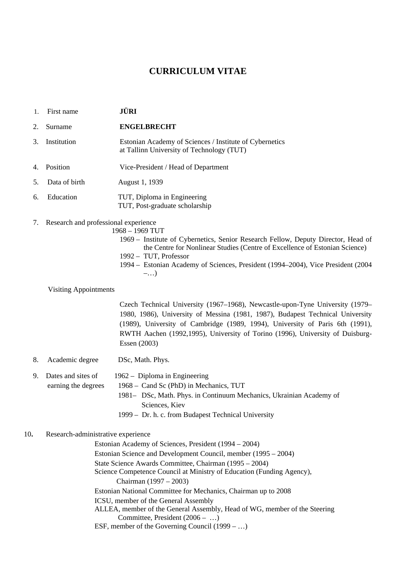# **CURRICULUM VITAE**

- 1. First name **JÜRI**
- 2. Surname **ENGELBRECHT**
- 3. Institution Estonian Academy of Sciences / Institute of Cybernetics at Tallinn University of Technology (TUT)
- 4. Position Vice-President / Head of Department
- 5. Data of birth August 1, 1939
- 6. Education TUT, Diploma in Engineering TUT, Post-graduate scholarship
- 7. Research and professional experience
	- 1968 1969 TUT
		- 1969 Institute of Cybernetics, Senior Research Fellow, Deputy Director, Head of the Centre for Nonlinear Studies (Centre of Excellence of Estonian Science) 1992 – TUT, Professor
		- 1994 Estonian Academy of Sciences, President (1994–2004), Vice President (2004 –…)
	- Visiting Appointments

Czech Technical University (1967–1968), Newcastle-upon-Tyne University (1979– 1980, 1986), University of Messina (1981, 1987), Budapest Technical University (1989), University of Cambridge (1989, 1994), University of Paris 6th (1991), RWTH Aachen (1992,1995), University of Torino (1996), University of Duisburg-Essen (2003)

8. Academic degree DSc, Math. Phys.

9. Dates and sites of 1962 – Diploma in Engineering earning the degrees 1968 – Cand Sc (PhD) in Mechanics, TUT

- 1981– DSc, Math. Phys. in Continuum Mechanics, Ukrainian Academy of Sciences, Kiev
- 1999 Dr. h. c. from Budapest Technical University

# 10**.** Research-administrative experience

Estonian Academy of Sciences, President (1994 – 2004) Estonian Science and Development Council, member (1995 – 2004) State Science Awards Committee, Chairman (1995 – 2004) Science Competence Council at Ministry of Education (Funding Agency), Chairman (1997 – 2003) Estonian National Committee for Mechanics, Chairman up to 2008 ICSU, member of the General Assembly ALLEA, member of the General Assembly, Head of WG, member of the Steering Committee, President (2006 – …) ESF, member of the Governing Council (1999 – …)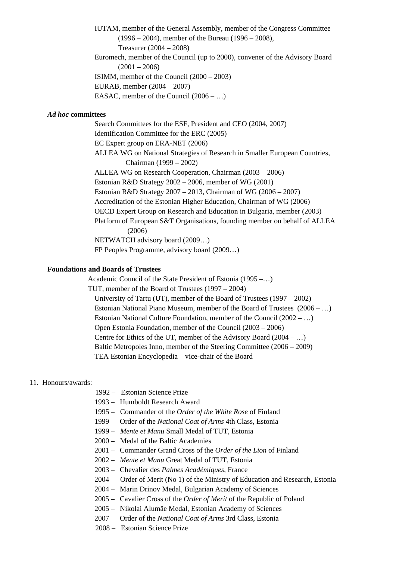IUTAM, member of the General Assembly, member of the Congress Committee (1996 – 2004), member of the Bureau (1996 – 2008), Treasurer (2004 – 2008)

Euromech, member of the Council (up to 2000), convener of the Advisory Board  $(2001 - 2006)$ 

ISIMM, member of the Council (2000 – 2003)

EURAB, member (2004 – 2007)

EASAC, member of the Council (2006 – …)

## *Ad hoc* **committees**

 Search Committees for the ESF, President and CEO (2004, 2007) Identification Committee for the ERC (2005) EC Expert group on ERA-NET (2006) ALLEA WG on National Strategies of Research in Smaller European Countries, Chairman (1999 – 2002) ALLEA WG on Research Cooperation, Chairman (2003 – 2006) Estonian R&D Strategy 2002 – 2006, member of WG (2001) Estonian R&D Strategy 2007 – 2013, Chairman of WG (2006 – 2007) Accreditation of the Estonian Higher Education, Chairman of WG (2006) OECD Expert Group on Research and Education in Bulgaria, member (2003) Platform of European S&T Organisations, founding member on behalf of ALLEA (2006) NETWATCH advisory board (2009…) FP Peoples Programme, advisory board (2009…)

# **Foundations and Boards of Trustees**

 Academic Council of the State President of Estonia (1995 –…) TUT, member of the Board of Trustees (1997 – 2004) University of Tartu (UT), member of the Board of Trustees (1997 – 2002) Estonian National Piano Museum, member of the Board of Trustees (2006 – …) Estonian National Culture Foundation, member of the Council (2002 – …) Open Estonia Foundation, member of the Council (2003 – 2006) Centre for Ethics of the UT, member of the Advisory Board (2004 – …) Baltic Metropoles Inno, member of the Steering Committee (2006 – 2009) TEA Estonian Encyclopedia – vice-chair of the Board

### 11. Honours/awards:

- 1992 Estonian Science Prize
- 1993 Humboldt Research Award
- 1995 Commander of the *Order of the White Rose* of Finland
- 1999 Order of the *National Coat of Arms* 4th Class, Estonia
- 1999 *Mente et Manu* Small Medal of TUT, Estonia
- 2000 Medal of the Baltic Academies
- 2001 Commander Grand Cross of the *Order of the Lion* of Finland
- 2002 *Mente et Manu* Great Medal of TUT, Estonia
- 2003 Chevalier des *Palmes Académiques*, France
- 2004 Order of Merit (No 1) of the Ministry of Education and Research, Estonia
- 2004 Marin Drinov Medal, Bulgarian Academy of Sciences
- 2005 Cavalier Cross of the *Order of Merit* of the Republic of Poland
- 2005 Nikolai Alumäe Medal, Estonian Academy of Sciences
- 2007 Order of the *National Coat of Arms* 3rd Class, Estonia
- 2008 Estonian Science Prize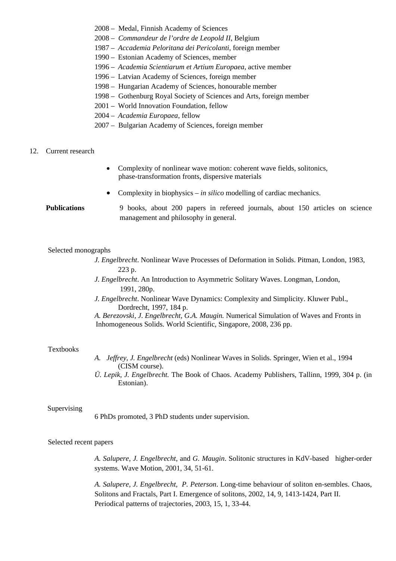- 2008 Medal, Finnish Academy of Sciences
- 2008 *Commandeur de l'ordre de Leopold II*, Belgium
- 1987 *Accademia Peloritana dei Pericolanti*, foreign member
- 1990 Estonian Academy of Sciences, member
- 1996 *Academia Scientiarum et Artium Europaea*, active member
- 1996 Latvian Academy of Sciences, foreign member
- 1998 Hungarian Academy of Sciences, honourable member
- 1998 Gothenburg Royal Society of Sciences and Arts, foreign member
- 2001 World Innovation Foundation, fellow
- 2004 *Academia Europaea*, fellow
- 2007 Bulgarian Academy of Sciences, foreign member

### 12. Current research

- Complexity of nonlinear wave motion: coherent wave fields, solitonics, phase-transformation fronts, dispersive materials
- Complexity in biophysics *in silico* modelling of cardiac mechanics.

 **Publications** 9 books, about 200 papers in refereed journals, about 150 articles on science management and philosophy in general.

#### Selected monographs

- *J. Engelbrecht*. Nonlinear Wave Processes of Deformation in Solids. Pitman, London, 1983, 223 p.
- *J. Engelbrecht*. An Introduction to Asymmetric Solitary Waves. Longman, London, 1991, 280p.
- *J. Engelbrecht*. Nonlinear Wave Dynamics: Complexity and Simplicity. Kluwer Publ., Dordrecht, 1997, 184 p.

*A. Berezovski, J*. *Engelbrecht, G.A. Maugin.* Numerical Simulation of Waves and Fronts in Inhomogeneous Solids. World Scientific, Singapore, 2008, 236 pp.

#### Textbooks

- *A. Jeffrey, J. Engelbrecht* (eds) Nonlinear Waves in Solids. Springer, Wien et al., 1994 (CISM course).
- *Ü. Lepik, J. Engelbrecht.* The Book of Chaos. Academy Publishers, Tallinn, 1999, 304 p. (in Estonian).

#### Supervising

6 PhDs promoted, 3 PhD students under supervision.

### Selected recent papers

 *A. Salupere, J. Engelbrecht*, and *G. Maugin*. Solitonic structures in KdV-based higher-order systems. Wave Motion, 2001, 34, 51-61.

 *A. Salupere, J. Engelbrecht, P. Peterson*. Long-time behaviour of soliton en-sembles. Chaos, Solitons and Fractals, Part I. Emergence of solitons, 2002, 14, 9, 1413-1424, Part II. Periodical patterns of trajectories, 2003, 15, 1, 33-44.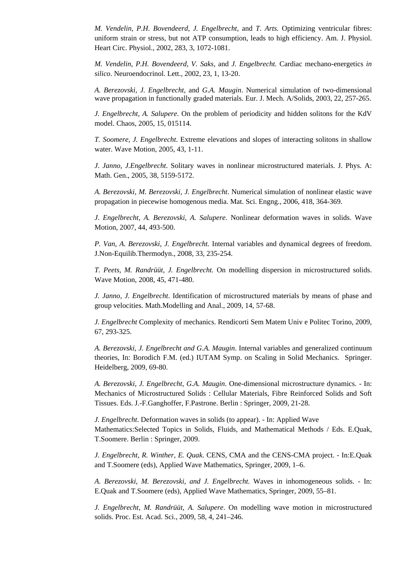*M. Vendelin, P.H. Bovendeerd, J. Engelbrecht,* and *T. Arts.* Optimizing ventricular fibres: uniform strain or stress, but not ATP consumption, leads to high efficiency. Am. J. Physiol. Heart Circ. Physiol., 2002, 283, 3, 1072-1081.

 *M. Vendelin, P.H. Bovendeerd, V. Saks,* and *J. Engelbrecht.* Cardiac mechano-energetics *in silico*. Neuroendocrinol. Lett., 2002, 23, 1, 13-20.

 *A. Berezovski, J. Engelbrecht*, and *G.A. Maugin*. Numerical simulation of two-dimensional wave propagation in functionally graded materials. Eur. J. Mech. A/Solids, 2003, 22, 257-265.

 *J. Engelbrecht, A. Salupere*. On the problem of periodicity and hidden solitons for the KdV model. Chaos, 2005, 15, 015114.

 *T. Soomere, J. Engelbrecht*. Extreme elevations and slopes of interacting solitons in shallow water. Wave Motion, 2005, 43, 1-11.

 *J*. *Janno, J.Engelbrecht*. Solitary waves in nonlinear microstructured materials. J. Phys. A: Math. Gen., 2005, 38, 5159-5172.

 *A. Berezovski, M. Berezovski, J. Engelbrecht*. Numerical simulation of nonlinear elastic wave propagation in piecewise homogenous media. Mat. Sci. Engng., 2006, 418, 364-369.

 *J*. *Engelbrecht, A. Berezovski, A. Salupere.* Nonlinear deformation waves in solids. Wave Motion, 2007, 44, 493-500.

 *P. Van, A. Berezovski, J. Engelbrecht.* Internal variables and dynamical degrees of freedom. J.Non-Equilib.Thermodyn., 2008, 33, 235-254.

 *T. Peets, M. Randrüüt, J. Engelbrecht.* On modelling dispersion in microstructured solids. Wave Motion, 2008, 45, 471-480.

 *J. Janno, J. Engelbrecht*. Identification of microstructured materials by means of phase and group velocities. Math.Modelling and Anal., 2009, 14, 57-68.

 *J. Engelbrecht* Complexity of mechanics. Rendicorti Sem Matem Univ e Politec Torino, 2009, 67, 293-325.

 *A. Berezovski, J. Engelbrecht and G.A. Maugin*. Internal variables and generalized continuum theories, In: Borodich F.M. (ed.) IUTAM Symp. on Scaling in Solid Mechanics. Springer. Heidelberg, 2009, 69-80.

 *A. Berezovski, J. Engelbrecht, G.A. Maugin*. One-dimensional microstructure dynamics. - In: Mechanics of Microstructured Solids : Cellular Materials, Fibre Reinforced Solids and Soft Tissues. Eds. J.-F.Ganghoffer, F.Pastrone. Berlin : Springer, 2009, 21-28.

 *J. Engelbrecht*. Deformation waves in solids (to appear). - In: Applied Wave Mathematics:Selected Topics in Solids, Fluids, and Mathematical Methods / Eds. E.Quak, T.Soomere. Berlin : Springer, 2009.

 *J. Engelbrecht, R. Winther, E. Quak*. CENS, CMA and the CENS-CMA project. - In:E.Quak and T.Soomere (eds), Applied Wave Mathematics, Springer, 2009, 1–6.

 *A. Berezovski, M. Berezovski, and J. Engelbrecht.* Waves in inhomogeneous solids. - In: E.Quak and T.Soomere (eds), Applied Wave Mathematics, Springer, 2009, 55–81.

 *J. Engelbrecht, M. Randrüüt, A. Salupere*. On modelling wave motion in microstructured solids. Proc. Est. Acad. Sci., 2009, 58, 4, 241–246.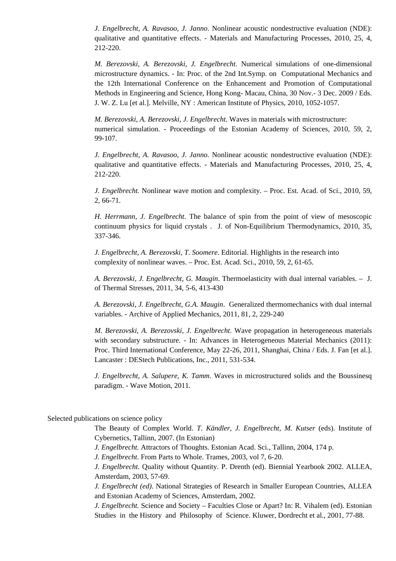*J. Engelbrecht, A. Ravasoo, J. Janno*. Nonlinear acoustic nondestructive evaluation (NDE): qualitative and quantitative effects. - Materials and Manufacturing Processes, 2010, 25, 4, 212-220.

 *M. Berezovski, A. Berezovski, J. Engelbrecht*. Numerical simulations of one-dimensional microstructure dynamics. - In: Proc. of the 2nd Int.Symp. on Computational Mechanics and the 12th International Conference on the Enhancement and Promotion of Computational Methods in Engineering and Science, Hong Kong- Macau, China, 30 Nov.- 3 Dec. 2009 / Eds. J. W. Z. Lu [et al.]. Melville, NY : American Institute of Physics, 2010, 1052-1057.

 *M. Berezovski, A. Berezovski, J. Engelbrecht*. Waves in materials with microstructure: numerical simulation. - Proceedings of the Estonian Academy of Sciences, 2010, 59, 2, 99-107.

 *J. Engelbrecht, A. Ravasoo, J. Janno*. Nonlinear acoustic nondestructive evaluation (NDE): qualitative and quantitative effects. - Materials and Manufacturing Processes, 2010, 25, 4, 212-220.

 *J. Engelbrecht.* Nonlinear wave motion and complexity. – Proc. Est. Acad. of Sci., 2010, 59, 2, 66-71.

 *H. Herrmann, J. Engelbrecht*. The balance of spin from the point of view of mesoscopic continuum physics for liquid crystals . J. of Non-Equilibrium Thermodynamics, 2010, 35, 337-346.

 *J. Engelbrecht, A. Berezovski, T. Soomere*. Editorial. Highlights in the research into complexity of nonlinear waves. – Proc. Est. Acad. Sci., 2010, 59, 2, 61-65.

 *A. Berezovski, J. Engelbrecht, G. Maugin*. Thermoelasticity with dual internal variables. – J. of Thermal Stresses, 2011, 34, 5-6, 413-430

 *A. Berezovski, J. Engelbrecht, G.A. Maugin*. Generalized thermomechanics with dual internal variables. - Archive of Applied Mechanics, 2011, 81, 2, 229-240

 *M. Berezovski, A. Berezovski, J. Engelbrecht*. Wave propagation in heterogeneous materials with secondary substructure. - In: Advances in Heterogeneous Material Mechanics (2011): Proc. Third International Conference, May 22-26, 2011, Shanghai, China / Eds. J. Fan [et al.]. Lancaster : DEStech Publications, Inc., 2011, 531-534.

 *J. Engelbrecht, A. Salupere, K. Tamm*. Waves in microstructured solids and the Boussinesq paradigm. - Wave Motion, 2011.

Selected publications on science policy

 The Beauty of Complex World. *T. Kändler, J. Engelbrecht, M. Kutser* (eds). Institute of Cybernetics, Tallinn, 2007. (In Estonian)

*J. Engelbrecht.* Attractors of Thoughts. Estonian Acad. Sci., Tallinn, 2004, 174 p.

*J. Engelbrecht*. From Parts to Whole. Trames, 2003, vol 7, 6-20.

 *J. Engelbrecht.* Quality without Quantity. P. Drenth (ed). Biennial Yearbook 2002. ALLEA, Amsterdam, 2003, 57-69.

 *J. Engelbrecht (ed)*. National Strategies of Research in Smaller European Countries, ALLEA and Estonian Academy of Sciences, Amsterdam, 2002.

 *J. Engelbrecht.* Science and Society – Faculties Close or Apart? In: R. Vihalem (ed). Estonian Studies in the History and Philosophy of Science. Kluwer, Dordrecht et al., 2001, 77-88.